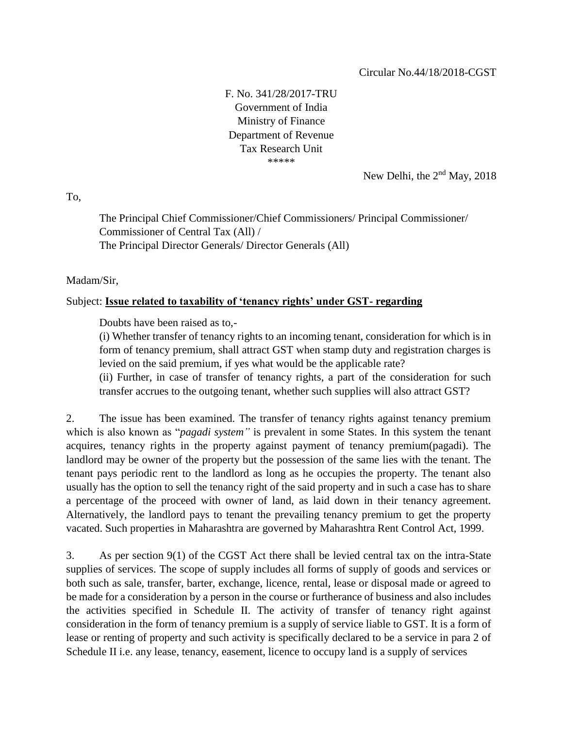F. No. 341/28/2017-TRU Government of India Ministry of Finance Department of Revenue Tax Research Unit \*\*\*\*\*

New Delhi, the 2nd May, 2018

To,

The Principal Chief Commissioner/Chief Commissioners/ Principal Commissioner/ Commissioner of Central Tax (All) / The Principal Director Generals/ Director Generals (All)

Madam/Sir,

## Subject: **Issue related to taxability of 'tenancy rights' under GST- regarding**

Doubts have been raised as to,-

(i) Whether transfer of tenancy rights to an incoming tenant, consideration for which is in form of tenancy premium, shall attract GST when stamp duty and registration charges is levied on the said premium, if yes what would be the applicable rate?

(ii) Further, in case of transfer of tenancy rights, a part of the consideration for such transfer accrues to the outgoing tenant, whether such supplies will also attract GST?

2. The issue has been examined. The transfer of tenancy rights against tenancy premium which is also known as "*pagadi system"* is prevalent in some States. In this system the tenant acquires, tenancy rights in the property against payment of tenancy premium(pagadi). The landlord may be owner of the property but the possession of the same lies with the tenant. The tenant pays periodic rent to the landlord as long as he occupies the property. The tenant also usually has the option to sell the tenancy right of the said property and in such a case has to share a percentage of the proceed with owner of land, as laid down in their tenancy agreement. Alternatively, the landlord pays to tenant the prevailing tenancy premium to get the property vacated. Such properties in Maharashtra are governed by Maharashtra Rent Control Act, 1999.

3. As per section 9(1) of the CGST Act there shall be levied central tax on the intra-State supplies of services. The scope of supply includes all forms of supply of goods and services or both such as sale, transfer, barter, exchange, licence, rental, lease or disposal made or agreed to be made for a consideration by a person in the course or furtherance of business and also includes the activities specified in Schedule II. The activity of transfer of tenancy right against consideration in the form of tenancy premium is a supply of service liable to GST. It is a form of lease or renting of property and such activity is specifically declared to be a service in para 2 of Schedule II i.e. any lease, tenancy, easement, licence to occupy land is a supply of services